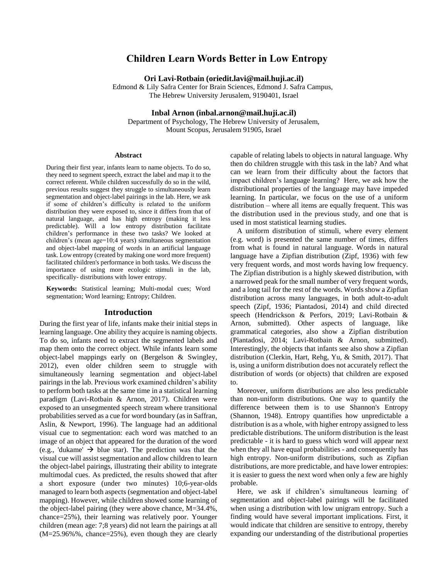# **Children Learn Words Better in Low Entropy**

**Ori Lavi-Rotbain (oriedit.lavi@mail.huji.ac.il)**

Edmond & Lily Safra Center for Brain Sciences, Edmond J. Safra Campus, The Hebrew University Jerusalem, 9190401, Israel

**Inbal Arnon (inbal.arnon@mail.huji.ac.il)** Department of Psychology, The Hebrew University of Jerusalem,

Mount Scopus, Jerusalem 91905, Israel

#### **Abstract**

During their first year, infants learn to name objects. To do so, they need to segment speech, extract the label and map it to the correct referent. While children successfully do so in the wild, previous results suggest they struggle to simultaneously learn segmentation and object-label pairings in the lab. Here, we ask if some of children's difficulty is related to the uniform distribution they were exposed to, since it differs from that of natural language, and has high entropy (making it less predictable). Will a low entropy distribution facilitate children's performance in these two tasks? We looked at children's (mean age=10;4 years) simultaneous segmentation and object-label mapping of words in an artificial language task. Low entropy (created by making one word more frequent) facilitated children's performance in both tasks. We discuss the importance of using more ecologic stimuli in the lab, specifically- distributions with lower entropy.

**Keywords:** Statistical learning; Multi-modal cues; Word segmentation; Word learning; Entropy; Children.

### **Introduction**

During the first year of life, infants make their initial steps in learning language. One ability they acquire is naming objects. To do so, infants need to extract the segmented labels and map them onto the correct object. While infants learn some object-label mappings early on (Bergelson & Swingley, 2012), even older children seem to struggle with simultaneously learning segmentation and object-label pairings in the lab. Previous work examined children's ability to perform both tasks at the same time in a statistical learning paradigm (Lavi-Rotbain & Arnon, 2017). Children were exposed to an unsegmented speech stream where transitional probabilities served as a cue for word boundary (as in Saffran, Aslin, & Newport, 1996). The language had an additional visual cue to segmentation: each word was matched to an image of an object that appeared for the duration of the word (e.g., 'dukame'  $\rightarrow$  blue star). The prediction was that the visual cue will assist segmentation and allow children to learn the object-label pairings, illustrating their ability to integrate multimodal cues. As predicted, the results showed that after a short exposure (under two minutes) 10;6-year-olds managed to learn both aspects (segmentation and object-label mapping). However, while children showed some learning of the object-label pairing (they were above chance, M=34.4%, chance=25%), their learning was relatively poor. Younger children (mean age: 7;8 years) did not learn the pairings at all (M=25.96%%, chance=25%), even though they are clearly

capable of relating labels to objects in natural language. Why then do children struggle with this task in the lab? And what can we learn from their difficulty about the factors that impact children's language learning? Here, we ask how the distributional properties of the language may have impeded learning. In particular, we focus on the use of a uniform distribution – where all items are equally frequent. This was the distribution used in the previous study, and one that is used in most statistical learning studies.

A uniform distribution of stimuli, where every element (e.g. word) is presented the same number of times, differs from what is found in natural language. Words in natural language have a Zipfian distribution (Zipf, 1936) with few very frequent words, and most words having low frequency. The Zipfian distribution is a highly skewed distribution, with a narrowed peak for the small number of very frequent words, and a long tail for the rest of the words. Words show a Zipfian distribution across many languages, in both adult-to-adult speech (Zipf, 1936; Piantadosi, 2014) and child directed speech (Hendrickson & Perfors, 2019; Lavi-Rotbain & Arnon, submitted). Other aspects of language, like grammatical categories, also show a Zipfian distribution (Piantadosi, 2014; Lavi-Rotbain & Arnon, submitted). Interestingly, the objects that infants see also show a Zipfian distribution (Clerkin, Hart, Rehg, Yu, & Smith, 2017). That is, using a uniform distribution does not accurately reflect the distribution of words (or objects) that children are exposed to.

Moreover, uniform distributions are also less predictable than non-uniform distributions. One way to quantify the difference between them is to use Shannon's Entropy (Shannon, 1948). Entropy quantifies how unpredictable a distribution is as a whole, with higher entropy assigned to less predictable distributions. The uniform distribution is the least predictable - it is hard to guess which word will appear next when they all have equal probabilities - and consequently has high entropy. Non-uniform distributions, such as Zipfian distributions, are more predictable, and have lower entropies: it is easier to guess the next word when only a few are highly probable.

Here, we ask if children's simultaneous learning of segmentation and object-label pairings will be facilitated when using a distribution with low unigram entropy. Such a finding would have several important implications. First, it would indicate that children are sensitive to entropy, thereby expanding our understanding of the distributional properties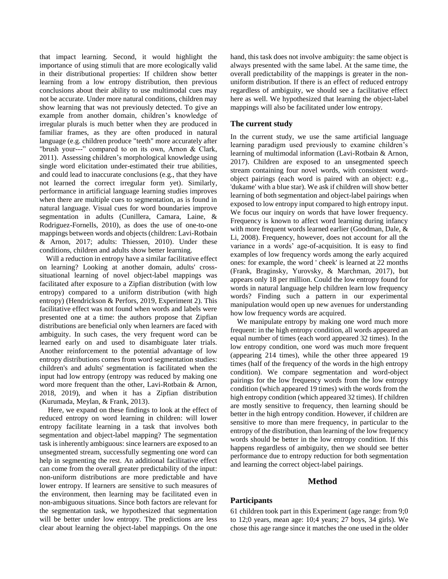that impact learning. Second, it would highlight the importance of using stimuli that are more ecologically valid in their distributional properties: If children show better learning from a low entropy distribution, then previous conclusions about their ability to use multimodal cues may not be accurate. Under more natural conditions, children may show learning that was not previously detected. To give an example from another domain, children's knowledge of irregular plurals is much better when they are produced in familiar frames, as they are often produced in natural language (e.g. children produce "teeth" more accurately after "brush your---" compared to on its own, Arnon & Clark, 2011). Assessing children's morphological knowledge using single word elicitation under-estimated their true abilities, and could lead to inaccurate conclusions (e.g., that they have not learned the correct irregular form yet). Similarly, performance in artificial language learning studies improves when there are multiple cues to segmentation, as is found in natural language. Visual cues for word boundaries improve segmentation in adults (Cunillera, Camara, Laine, & Rodriguez-Fornells, 2010), as does the use of one-to-one mappings between words and objects (children: Lavi-Rotbain & Arnon, 2017; adults: Thiessen, 2010). Under these conditions, children and adults show better learning.

Will a reduction in entropy have a similar facilitative effect on learning? Looking at another domain, adults' crosssituational learning of novel object-label mappings was facilitated after exposure to a Zipfian distribution (with low entropy) compared to a uniform distribution (with high entropy) (Hendrickson & Perfors, 2019, Experiment 2). This facilitative effect was not found when words and labels were presented one at a time: the authors propose that Zipfian distributions are beneficial only when learners are faced with ambiguity. In such cases, the very frequent word can be learned early on and used to disambiguate later trials. Another reinforcement to the potential advantage of low entropy distributions comes from word segmentation studies: children's and adults' segmentation is facilitated when the input had low entropy (entropy was reduced by making one word more frequent than the other, Lavi-Rotbain & Arnon, 2018, 2019), and when it has a Zipfian distribution (Kurumada, Meylan, & Frank, 2013).

Here, we expand on these findings to look at the effect of reduced entropy on word learning in children: will lower entropy facilitate learning in a task that involves both segmentation and object-label mapping? The segmentation task is inherently ambiguous: since learners are exposed to an unsegmented stream, successfully segmenting one word can help in segmenting the rest. An additional facilitative effect can come from the overall greater predictability of the input: non-uniform distributions are more predictable and have lower entropy. If learners are sensitive to such measures of the environment, then learning may be facilitated even in non-ambiguous situations. Since both factors are relevant for the segmentation task, we hypothesized that segmentation will be better under low entropy. The predictions are less clear about learning the object-label mappings. On the one hand, this task does not involve ambiguity: the same object is always presented with the same label. At the same time, the overall predictability of the mappings is greater in the nonuniform distribution. If there is an effect of reduced entropy regardless of ambiguity, we should see a facilitative effect here as well. We hypothesized that learning the object-label mappings will also be facilitated under low entropy.

# **The current study**

In the current study, we use the same artificial language learning paradigm used previously to examine children's learning of multimodal information (Lavi-Rotbain & Arnon, 2017). Children are exposed to an unsegmented speech stream containing four novel words, with consistent wordobject pairings (each word is paired with an object: e.g., 'dukame' with a blue star). We ask if children will show better learning of both segmentation and object-label pairings when exposed to low entropy input compared to high entropy input. We focus our inquiry on words that have lower frequency. Frequency is known to affect word learning during infancy with more frequent words learned earlier (Goodman, Dale, & Li, 2008). Frequency, however, does not account for all the variance in a words' age-of-acquisition. It is easy to find examples of low frequency words among the early acquired ones: for example, the word ' cheek' is learned at 22 months (Frank, Braginsky, Yurovsky, & Marchman, 2017), but appears only 18 per million. Could the low entropy found for words in natural language help children learn low frequency words? Finding such a pattern in our experimental manipulation would open up new avenues for understanding how low frequency words are acquired.

We manipulate entropy by making one word much more frequent: in the high entropy condition, all words appeared an equal number of times (each word appeared 32 times). In the low entropy condition, one word was much more frequent (appearing 214 times), while the other three appeared 19 times (half of the frequency of the words in the high entropy condition). We compare segmentation and word-object pairings for the low frequency words from the low entropy condition (which appeared 19 times) with the words from the high entropy condition (which appeared 32 times). If children are mostly sensitive to frequency, then learning should be better in the high entropy condition. However, if children are sensitive to more than mere frequency, in particular to the entropy of the distribution, than learning of the low frequency words should be better in the low entropy condition. If this happens regardless of ambiguity, then we should see better performance due to entropy reduction for both segmentation and learning the correct object-label pairings.

# **Method**

### **Participants**

61 children took part in this Experiment (age range: from 9;0 to 12;0 years, mean age: 10;4 years; 27 boys, 34 girls). We chose this age range since it matches the one used in the older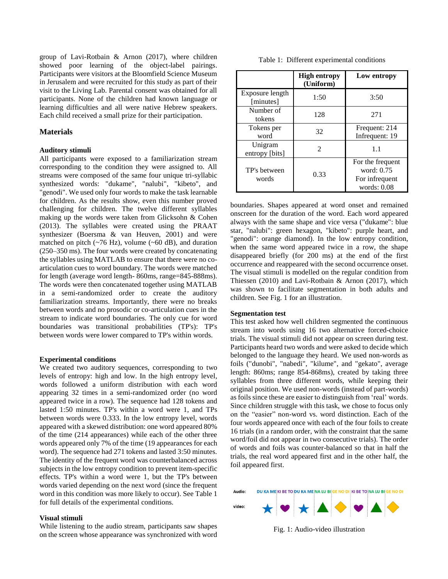group of Lavi-Rotbain & Arnon (2017), where children showed poor learning of the object-label pairings. Participants were visitors at the Bloomfield Science Museum in Jerusalem and were recruited for this study as part of their visit to the Living Lab. Parental consent was obtained for all participants. None of the children had known language or learning difficulties and all were native Hebrew speakers. Each child received a small prize for their participation.

### **Materials**

#### **Auditory stimuli**

All participants were exposed to a familiarization stream corresponding to the condition they were assigned to. All streams were composed of the same four unique tri-syllabic synthesized words: "dukame", "nalubi", "kibeto", and "genodi". We used only four words to make the task learnable for children. As the results show, even this number proved challenging for children. The twelve different syllables making up the words were taken from Glicksohn & Cohen (2013). The syllables were created using the PRAAT synthesizer (Boersma & van Heuven, 2001) and were matched on pitch  $(\sim 76 \text{ Hz})$ , volume  $(\sim 60 \text{ dB})$ , and duration (250–350 ms). The four words were created by concatenating the syllables using MATLAB to ensure that there were no coarticulation cues to word boundary. The words were matched for length (average word length- 860ms, range=845-888ms). The words were then concatenated together using MATLAB in a semi-randomized order to create the auditory familiarization streams. Importantly, there were no breaks between words and no prosodic or co-articulation cues in the stream to indicate word boundaries. The only cue for word boundaries was transitional probabilities (TP's): TP's between words were lower compared to TP's within words.

#### **Experimental conditions**

We created two auditory sequences, corresponding to two levels of entropy: high and low. In the high entropy level, words followed a uniform distribution with each word appearing 32 times in a semi-randomized order (no word appeared twice in a row). The sequence had 128 tokens and lasted 1:50 minutes. TP's within a word were 1, and TPs between words were 0.333. In the low entropy level, words appeared with a skewed distribution: one word appeared 80% of the time (214 appearances) while each of the other three words appeared only 7% of the time (19 appearances for each word). The sequence had 271 tokens and lasted 3:50 minutes. The identity of the frequent word was counterbalanced across subjects in the low entropy condition to prevent item-specific effects. TP's within a word were 1, but the TP's between words varied depending on the next word (since the frequent word in this condition was more likely to occur). See Table 1 for full details of the experimental conditions.

# **Visual stimuli**

While listening to the audio stream, participants saw shapes on the screen whose appearance was synchronized with word

|  | Table 1: Different experimental conditions |  |  |
|--|--------------------------------------------|--|--|
|--|--------------------------------------------|--|--|

|                              | <b>High entropy</b><br>(Uniform) | Low entropy                                                       |  |
|------------------------------|----------------------------------|-------------------------------------------------------------------|--|
| Exposure length<br>[minutes] | 1:50<br>3:50                     |                                                                   |  |
| Number of<br>tokens          | 128                              | 271                                                               |  |
| Tokens per<br>word           | 32                               | Frequent: 214<br>Infrequent: 19                                   |  |
| Unigram<br>entropy [bits]    | $\mathcal{D}_{\mathcal{L}}$      | 1.1                                                               |  |
| TP's between<br>words        | 0.33                             | For the frequent<br>word: 0.75<br>For infrequent<br>words: $0.08$ |  |

boundaries. Shapes appeared at word onset and remained onscreen for the duration of the word. Each word appeared always with the same shape and vice versa ("dukame": blue star, "nalubi": green hexagon, "kibeto": purple heart, and "genodi": orange diamond). In the low entropy condition, when the same word appeared twice in a row, the shape disappeared briefly (for 200 ms) at the end of the first occurrence and reappeared with the second occurrence onset. The visual stimuli is modelled on the regular condition from Thiessen (2010) and Lavi-Rotbain & Arnon (2017), which was shown to facilitate segmentation in both adults and children. See Fig. 1 for an illustration.

#### **Segmentation test**

This test asked how well children segmented the continuous stream into words using 16 two alternative forced-choice trials. The visual stimuli did not appear on screen during test. Participants heard two words and were asked to decide which belonged to the language they heard. We used non-words as foils ("dunobi", "nabedi", "kilume", and "gekato", average length: 860ms; range 854-868ms), created by taking three syllables from three different words, while keeping their original position. We used non-words (instead of part-words) as foils since these are easier to distinguish from 'real' words. Since children struggle with this task, we chose to focus only on the "easier" non-word vs. word distinction. Each of the four words appeared once with each of the four foils to create 16 trials (in a random order, with the constraint that the same word/foil did not appear in two consecutive trials). The order of words and foils was counter-balanced so that in half the trials, the real word appeared first and in the other half, the foil appeared first.



Fig. 1: Audio-video illustration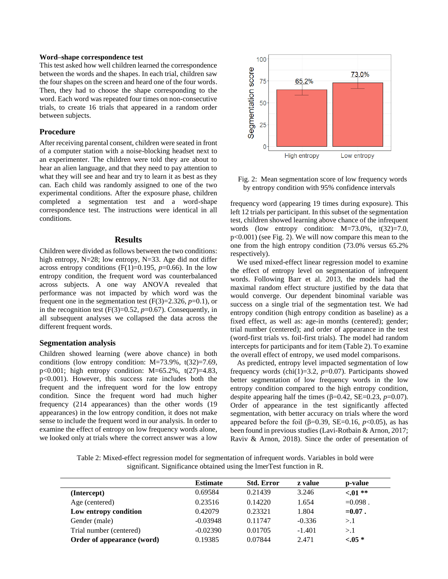#### **Word–shape correspondence test**

This test asked how well children learned the correspondence between the words and the shapes. In each trial, children saw the four shapes on the screen and heard one of the four words. Then, they had to choose the shape corresponding to the word. Each word was repeated four times on non-consecutive trials, to create 16 trials that appeared in a random order between subjects.

## **Procedure**

After receiving parental consent, children were seated in front of a computer station with a noise-blocking headset next to an experimenter. The children were told they are about to hear an alien language, and that they need to pay attention to what they will see and hear and try to learn it as best as they can. Each child was randomly assigned to one of the two experimental conditions. After the exposure phase, children completed a segmentation test and a word-shape correspondence test. The instructions were identical in all conditions.

#### **Results**

Children were divided as follows between the two conditions: high entropy, N=28; low entropy, N=33. Age did not differ across entropy conditions  $(F(1)=0.195, p=0.66)$ . In the low entropy condition, the frequent word was counterbalanced across subjects. A one way ANOVA revealed that performance was not impacted by which word was the frequent one in the segmentation test  $(F(3)=2.326, p=0.1)$ , or in the recognition test  $(F(3)=0.52, p=0.67)$ . Consequently, in all subsequent analyses we collapsed the data across the different frequent words.

#### **Segmentation analysis**

Children showed learning (were above chance) in both conditions (low entropy condition: M=73.9%, t(32)=7.69, p<0.001; high entropy condition: M=65.2%, t(27)=4.83, p<0.001). However, this success rate includes both the frequent and the infrequent word for the low entropy condition. Since the frequent word had much higher frequency (214 appearances) than the other words (19 appearances) in the low entropy condition, it does not make sense to include the frequent word in our analysis. In order to examine the effect of entropy on low frequency words alone, we looked only at trials where the correct answer was a low



Fig. 2: Mean segmentation score of low frequency words by entropy condition with 95% confidence intervals

frequency word (appearing 19 times during exposure). This left 12 trials per participant. In this subset of the segmentation test, children showed learning above chance of the infrequent words (low entropy condition:  $M=73.0\%$ ,  $t(32)=7.0$ , p<0.001) (see Fig. 2). We will now compare this mean to the one from the high entropy condition (73.0% versus 65.2% respectively).

We used mixed-effect linear regression model to examine the effect of entropy level on segmentation of infrequent words. Following Barr et al. 2013, the models had the maximal random effect structure justified by the data that would converge. Our dependent binominal variable was success on a single trial of the segmentation test. We had entropy condition (high entropy condition as baseline) as a fixed effect, as well as: age-in months (centered); gender; trial number (centered); and order of appearance in the test (word-first trials vs. foil-first trials). The model had random intercepts for participants and for item (Table 2). To examine the overall effect of entropy, we used model comparisons.

As predicted, entropy level impacted segmentation of low frequency words (chi(1)=3.2, *p*=0.07). Participants showed better segmentation of low frequency words in the low entropy condition compared to the high entropy condition, despite appearing half the times ( $\beta$ =0.42, SE=0.23, *p*=0.07). Order of appearance in the test significantly affected segmentation, with better accuracy on trials where the word appeared before the foil (β=0.39, SE=0.16,  $p<0.05$ ), as has been found in previous studies (Lavi-Rotbain & Arnon, 2017; Raviv & Arnon, 2018). Since the order of presentation of

Table 2: Mixed-effect regression model for segmentation of infrequent words. Variables in bold were significant. Significance obtained using the lmerTest function in R.

|                            | <b>Estimate</b> | <b>Std. Error</b> | z value  | p-value    |  |
|----------------------------|-----------------|-------------------|----------|------------|--|
| (Intercept)                | 0.69584         | 0.21439           | 3.246    | $< 01 **$  |  |
| Age (centered)             | 0.23516         | 0.14220           | 1.654    | $=0.098$ . |  |
| Low entropy condition      | 0.42079         | 0.23321           | 1.804    | $=0.07$ .  |  |
| Gender (male)              | $-0.03948$      | 0.11747           | $-0.336$ | >1         |  |
| Trial number (centered)    | $-0.02390$      | 0.01705           | $-1.401$ | >1         |  |
| Order of appearance (word) | 0.19385         | 0.07844           | 2.471    | $-.05*$    |  |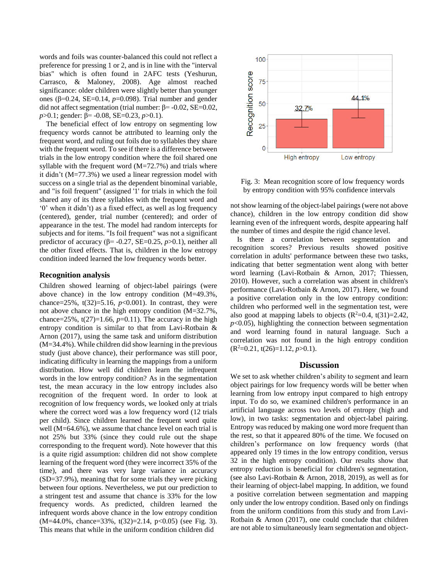words and foils was counter-balanced this could not reflect a preference for pressing 1 or 2, and is in line with the "interval bias" which is often found in 2AFC tests (Yeshurun, Carrasco, & Maloney, 2008). Age almost reached significance: older children were slightly better than younger ones (β=0.24, SE=0.14, *p*=0.098). Trial number and gender did not affect segmentation (trial number: β= -0.02, SE=0.02, *p*>0.1; gender: β= -0.08, SE=0.23, *p*>0.1).

The beneficial effect of low entropy on segmenting low frequency words cannot be attributed to learning only the frequent word, and ruling out foils due to syllables they share with the frequent word. To see if there is a difference between trials in the low entropy condition where the foil shared one syllable with the frequent word  $(M=72.7%)$  and trials where it didn't (M=77.3%) we used a linear regression model with success on a single trial as the dependent binominal variable, and "is foil frequent" (assigned '1' for trials in which the foil shared any of its three syllables with the frequent word and '0' when it didn't) as a fixed effect, as well as log frequency (centered), gender, trial number (centered); and order of appearance in the test. The model had random intercepts for subjects and for items. "Is foil frequent" was not a significant predictor of accuracy ( $\beta$ = -0.27, SE=0.25, *p*>0.1), neither all the other fixed effects. That is, children in the low entropy condition indeed learned the low frequency words better.

### **Recognition analysis**

Children showed learning of object-label pairings (were above chance) in the low entropy condition (M=49.3%, chance=25%,  $t(32)=5.16$ ,  $p<0.001$ ). In contrast, they were not above chance in the high entropy condition (M=32.7%, chance=25%,  $t(27)=1.66$ ,  $p=0.11$ ). The accuracy in the high entropy condition is similar to that from Lavi-Rotbain & Arnon (2017), using the same task and uniform distribution (M=34.4%). While children did show learning in the previous study (just above chance), their performance was still poor, indicating difficulty in learning the mappings from a uniform distribution. How well did children learn the infrequent words in the low entropy condition? As in the segmentation test, the mean accuracy in the low entropy includes also recognition of the frequent word. In order to look at recognition of low frequency words, we looked only at trials where the correct word was a low frequency word (12 trials per child). Since children learned the frequent word quite well (M=64.6%), we assume that chance level on each trial is not 25% but 33% (since they could rule out the shape corresponding to the frequent word). Note however that this is a quite rigid assumption: children did not show complete learning of the frequent word (they were incorrect 35% of the time), and there was very large variance in accuracy (SD=37.9%), meaning that for some trials they were picking between four options. Nevertheless, we put our prediction to a stringent test and assume that chance is 33% for the low frequency words. As predicted, children learned the infrequent words above chance in the low entropy condition  $(M=44.0\%$ , chance=33%, t(32)=2.14, p<0.05) (see Fig. 3). This means that while in the uniform condition children did



Fig. 3: Mean recognition score of low frequency words by entropy condition with 95% confidence intervals

not show learning of the object-label pairings (were not above chance), children in the low entropy condition did show learning even of the infrequent words, despite appearing half the number of times and despite the rigid chance level.

Is there a correlation between segmentation and recognition scores? Previous results showed positive correlation in adults' performance between these two tasks, indicating that better segmentation went along with better word learning (Lavi-Rotbain & Arnon, 2017; Thiessen, 2010). However, such a correlation was absent in children's performance (Lavi-Rotbain & Arnon, 2017). Here, we found a positive correlation only in the low entropy condition: children who performed well in the segmentation test, were also good at mapping labels to objects  $(R^2=0.4, t(31)=2.42,$  $p<0.05$ ), highlighting the connection between segmentation and word learning found in natural language. Such a correlation was not found in the high entropy condition  $(R^2=0.21, t(26)=1.12, p>0.1).$ 

### **Discussion**

We set to ask whether children's ability to segment and learn object pairings for low frequency words will be better when learning from low entropy input compared to high entropy input. To do so, we examined children's performance in an artificial language across two levels of entropy (high and low), in two tasks: segmentation and object-label pairing. Entropy was reduced by making one word more frequent than the rest, so that it appeared 80% of the time. We focused on children's performance on low frequency words (that appeared only 19 times in the low entropy condition, versus 32 in the high entropy condition). Our results show that entropy reduction is beneficial for children's segmentation, (see also Lavi-Rotbain & Arnon, 2018, 2019), as well as for their learning of object-label mapping. In addition, we found a positive correlation between segmentation and mapping only under the low entropy condition. Based only on findings from the uniform conditions from this study and from Lavi-Rotbain & Arnon (2017), one could conclude that children are not able to simultaneously learn segmentation and object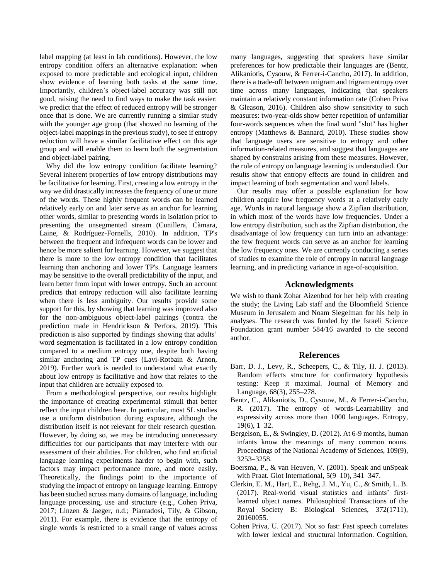label mapping (at least in lab conditions). However, the low entropy condition offers an alternative explanation: when exposed to more predictable and ecological input, children show evidence of learning both tasks at the same time. Importantly, children's object-label accuracy was still not good, raising the need to find ways to make the task easier: we predict that the effect of reduced entropy will be stronger once that is done. We are currently running a similar study with the younger age group (that showed no learning of the object-label mappings in the previous study), to see if entropy reduction will have a similar facilitative effect on this age group and will enable them to learn both the segmentation and object-label pairing.

Why did the low entropy condition facilitate learning? Several inherent properties of low entropy distributions may be facilitative for learning. First, creating a low entropy in the way we did drastically increases the frequency of one or more of the words. These highly frequent words can be learned relatively early on and later serve as an anchor for learning other words, similar to presenting words in isolation prior to presenting the unsegmented stream (Cunillera, Càmara, Laine, & Rodríguez-Fornells, 2010). In addition, TP's between the frequent and infrequent words can be lower and hence be more salient for learning. However, we suggest that there is more to the low entropy condition that facilitates learning than anchoring and lower TP's. Language learners may be sensitive to the overall predictability of the input, and learn better from input with lower entropy. Such an account predicts that entropy reduction will also facilitate learning when there is less ambiguity. Our results provide some support for this, by showing that learning was improved also for the non-ambiguous object-label pairings (contra the prediction made in Hendrickson & Perfors, 2019). This prediction is also supported by findings showing that adults' word segmentation is facilitated in a low entropy condition compared to a medium entropy one, despite both having similar anchoring and TP cues (Lavi-Rotbain & Arnon, 2019). Further work is needed to understand what exactly about low entropy is facilitative and how that relates to the input that children are actually exposed to.

From a methodological perspective, our results highlight the importance of creating experimental stimuli that better reflect the input children hear. In particular, most SL studies use a uniform distribution during exposure, although the distribution itself is not relevant for their research question. However, by doing so, we may be introducing unnecessary difficulties for our participants that may interfere with our assessment of their abilities. For children, who find artificial language learning experiments harder to begin with, such factors may impact performance more, and more easily. Theoretically, the findings point to the importance of studying the impact of entropy on language learning. Entropy has been studied across many domains of language, including language processing, use and structure (e.g., Cohen Priva, 2017; Linzen & Jaeger, n.d.; Piantadosi, Tily, & Gibson, 2011). For example, there is evidence that the entropy of single words is restricted to a small range of values across many languages, suggesting that speakers have similar preferences for how predictable their languages are (Bentz, Alikaniotis, Cysouw, & Ferrer-i-Cancho, 2017). In addition, there is a trade-off between unigram and trigram entropy over time across many languages, indicating that speakers maintain a relatively constant information rate (Cohen Priva & Gleason, 2016). Children also show sensitivity to such measures: two-year-olds show better repetition of unfamiliar four-words sequences when the final word "slot" has higher entropy (Matthews & Bannard, 2010). These studies show that language users are sensitive to entropy and other information-related measures, and suggest that languages are shaped by constrains arising from these measures. However, the role of entropy on language learning is understudied. Our results show that entropy effects are found in children and impact learning of both segmentation and word labels.

Our results may offer a possible explanation for how children acquire low frequency words at a relatively early age. Words in natural language show a Zipfian distribution, in which most of the words have low frequencies. Under a low entropy distribution, such as the Zipfian distribution, the disadvantage of low frequency can turn into an advantage: the few frequent words can serve as an anchor for learning the low frequency ones. We are currently conducting a series of studies to examine the role of entropy in natural language learning, and in predicting variance in age-of-acquisition.

### **Acknowledgments**

We wish to thank Zohar Aizenbud for her help with creating the study; the Living Lab staff and the Bloomfield Science Museum in Jerusalem and Noam Siegelman for his help in analyses. The research was funded by the Israeli Science Foundation grant number 584/16 awarded to the second author.

#### **References**

- Barr, D. J., Levy, R., Scheepers, C., & Tily, H. J. (2013). Random effects structure for confirmatory hypothesis testing: Keep it maximal. Journal of Memory and Language, 68(3), 255–278.
- Bentz, C., Alikaniotis, D., Cysouw, M., & Ferrer-i-Cancho, R. (2017). The entropy of words-Learnability and expressivity across more than 1000 languages. Entropy, 19(6), 1–32.
- Bergelson, E., & Swingley, D. (2012). At 6-9 months, human infants know the meanings of many common nouns. Proceedings of the National Academy of Sciences, 109(9), 3253–3258.
- Boersma, P., & van Heuven, V. (2001). Speak and unSpeak with Praat. Glot International, 5(9–10), 341–347.
- Clerkin, E. M., Hart, E., Rehg, J. M., Yu, C., & Smith, L. B. (2017). Real-world visual statistics and infants' firstlearned object names. Philosophical Transactions of the Royal Society B: Biological Sciences, 372(1711), 20160055.
- Cohen Priva, U. (2017). Not so fast: Fast speech correlates with lower lexical and structural information. Cognition,